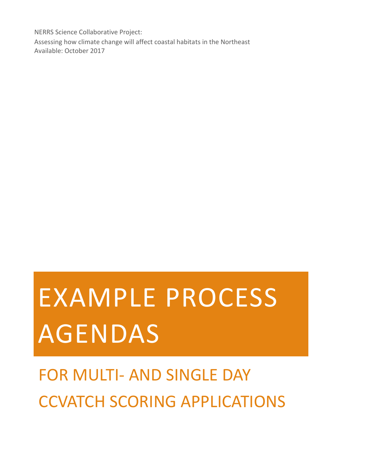NERRS Science Collaborative Project: Assessing how climate change will affect coastal habitats in the Northeast Available: October 2017

# EXAMPLE PROCESS AGENDAS

# FOR MULTI- AND SINGLE DAY CCVATCH SCORING APPLICATIONS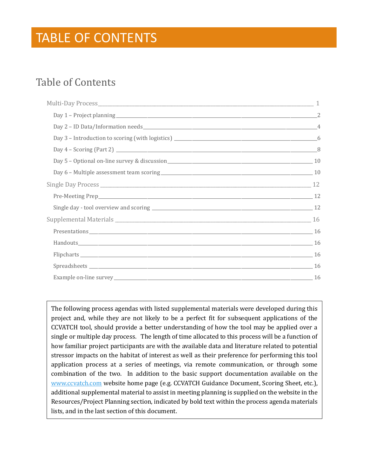### TABLE OF CONTENTS

### Table of Contents

The following process agendas with listed supplemental materials were developed during this project and, while they are not likely to be a perfect fit for subsequent applications of the CCVATCH tool, should provide a better understanding of how the tool may be applied over a single or multiple day process. The length of time allocated to this process will be a function of how familiar project participants are with the available data and literature related to potential stressor impacts on the habitat of interest as well as their preference for performing this tool application process at a series of meetings, via remote communication, or through some combination of the two. In addition to the basic support documentation available on the [www.ccvatch.com](http://www.ccvatch.com/) website home page (e.g. CCVATCH Guidance Document, Scoring Sheet, etc.), additional supplemental material to assist in meeting planning is supplied on the website in the Resources/Project Planning section, indicated by bold text within the process agenda materials lists, and in the last section of this document.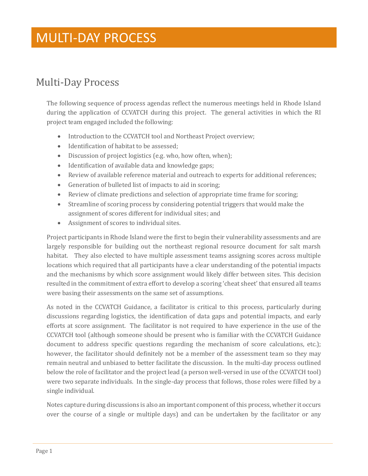### <span id="page-2-0"></span>Multi-Day Process

The following sequence of process agendas reflect the numerous meetings held in Rhode Island during the application of CCVATCH during this project. The general activities in which the RI project team engaged included the following:

- Introduction to the CCVATCH tool and Northeast Project overview;
- Identification of habitat to be assessed;
- Discussion of project logistics (e.g. who, how often, when);
- Identification of available data and knowledge gaps;
- Review of available reference material and outreach to experts for additional references;
- Generation of bulleted list of impacts to aid in scoring;
- Review of climate predictions and selection of appropriate time frame for scoring;
- Streamline of scoring process by considering potential triggers that would make the assignment of scores different for individual sites; and
- Assignment of scores to individual sites.

Project participants in Rhode Island were the first to begin their vulnerability assessments and are largely responsible for building out the northeast regional resource document for salt marsh habitat. They also elected to have multiple assessment teams assigning scores across multiple locations which required that all participants have a clear understanding of the potential impacts and the mechanisms by which score assignment would likely differ between sites. This decision resulted in the commitment of extra effort to develop a scoring 'cheat sheet' that ensured all teams were basing their assessments on the same set of assumptions.

As noted in the CCVATCH Guidance, a facilitator is critical to this process, particularly during discussions regarding logistics, the identification of data gaps and potential impacts, and early efforts at score assignment. The facilitator is not required to have experience in the use of the CCVATCH tool (although someone should be present who is familiar with the CCVATCH Guidance document to address specific questions regarding the mechanism of score calculations, etc.); however, the facilitator should definitely not be a member of the assessment team so they may remain neutral and unbiased to better facilitate the discussion. In the multi-day process outlined below the role of facilitator and the project lead (a person well-versed in use of the CCVATCH tool) were two separate individuals. In the single-day process that follows, those roles were filled by a single individual.

Notes capture during discussions is also an important component of this process, whether it occurs over the course of a single or multiple days) and can be undertaken by the facilitator or any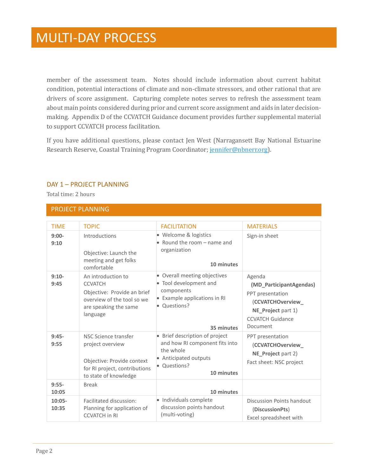member of the assessment team. Notes should include information about current habitat condition, potential interactions of climate and non-climate stressors, and other rational that are drivers of score assignment. Capturing complete notes serves to refresh the assessment team about main points considered during prior and current score assignment and aids in later decisionmaking. Appendix D of the CCVATCH Guidance document provides further supplemental material to support CCVATCH process facilitation.

If you have additional questions, please contact Jen West (Narragansett Bay National Estuarine Research Reserve, Coastal Training Program Coordinator; [jennifer@nbnerr.org\)](mailto:jennifer@nbnerr.org).

#### <span id="page-3-0"></span>DAY 1 – PROJECT PLANNING

Total time: 2 hours

#### PROJECT PLANNING

| <b>TIMF</b>       | <b>TOPIC</b>                                                                                                                           | <b>FACILITATION</b>                                                                                                                  | <b>MATERIALS</b>                                                                                                                        |
|-------------------|----------------------------------------------------------------------------------------------------------------------------------------|--------------------------------------------------------------------------------------------------------------------------------------|-----------------------------------------------------------------------------------------------------------------------------------------|
| $9:00-$<br>9:10   | Introductions<br>Objective: Launch the<br>meeting and get folks<br>comfortable                                                         | · Welcome & logistics<br>• Round the room – name and<br>organization<br>10 minutes                                                   | Sign-in sheet                                                                                                                           |
| $9:10-$<br>9:45   | An introduction to<br><b>CCVATCH</b><br>Objective: Provide an brief<br>overview of the tool so we<br>are speaking the same<br>language | • Overall meeting objectives<br>• Tool development and<br>components<br>• Example applications in RI<br>• Questions?<br>35 minutes   | Agenda<br>(MD_ParticipantAgendas)<br>PPT presentation<br>(CCVATCHOverview_<br>NE_Project part 1)<br><b>CCVATCH Guidance</b><br>Document |
| $9:45-$<br>9:55   | NSC Science transfer<br>project overview<br>Objective: Provide context<br>for RI project, contributions<br>to state of knowledge       | • Brief description of project<br>and how RI component fits into<br>the whole<br>• Anticipated outputs<br>• Questions?<br>10 minutes | PPT presentation<br>(CCVATCHOverview_<br>NE_Project part 2)<br>Fact sheet: NSC project                                                  |
| $9:55-$<br>10:05  | <b>Break</b>                                                                                                                           | 10 minutes                                                                                                                           |                                                                                                                                         |
| $10:05-$<br>10:35 | Facilitated discussion:<br>Planning for application of<br><b>CCVATCH in RI</b>                                                         | • Individuals complete<br>discussion points handout<br>(multi-voting)                                                                | Discussion Points handout<br>(DiscussionPts)<br>Excel spreadsheet with                                                                  |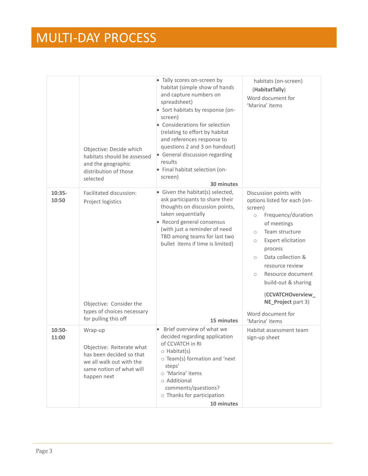|                   | Objective: Decide which<br>habitats should be assessed<br>and the geographic<br>distribution of those<br>selected                       | • Tally scores on-screen by<br>habitat (simple show of hands<br>and capture numbers on<br>spreadsheet)<br>• Sort habitats by response (on-<br>screen)<br>• Considerations for selection<br>(relating to effort by habitat<br>and references response to<br>questions 2 and 3 on handout)<br>• General discussion regarding<br>results<br>· Final habitat selection (on-<br>screen)<br>30 minutes | habitats (on-screen)<br>(HabitatTally)<br>Word document for<br>'Marina' items                                                                                                                                                                                                                                                                                                                    |
|-------------------|-----------------------------------------------------------------------------------------------------------------------------------------|--------------------------------------------------------------------------------------------------------------------------------------------------------------------------------------------------------------------------------------------------------------------------------------------------------------------------------------------------------------------------------------------------|--------------------------------------------------------------------------------------------------------------------------------------------------------------------------------------------------------------------------------------------------------------------------------------------------------------------------------------------------------------------------------------------------|
| $10:35-$<br>10:50 | Facilitated discussion:<br>Project logistics<br>Objective: Consider the<br>types of choices necessary<br>for pulling this off           | • Given the habitat(s) selected,<br>ask participants to share their<br>thoughts on discussion points,<br>taken sequentially<br>• Record general consensus<br>(with just a reminder of need<br>TBD among teams for last two<br>bullet items if time is limited)<br>15 minutes                                                                                                                     | Discussion points with<br>options listed for each (on-<br>screen)<br>Frequency/duration<br>$\circ$<br>of meetings<br>Team structure<br>$\circ$<br><b>Expert elicitation</b><br>$\circ$<br>process<br>Data collection &<br>$\bigcirc$<br>resource review<br>Resource document<br>$\circ$<br>build-out & sharing<br>(CCVATCHOverview_<br>NE_Project part 3)<br>Word document for<br>'Marina' items |
| $10:50-$<br>11:00 | Wrap-up<br>Objective: Reiterate what<br>has been decided so that<br>we all walk out with the<br>same notion of what will<br>happen next | Brief overview of what we<br>decided regarding application<br>of CCVATCH in RI<br>$\circ$ Habitat(s)<br>o Team(s) formation and 'next<br>steps'<br>o 'Marina' items<br>$\circ$ Additional<br>comments/questions?<br>o Thanks for participation<br>10 minutes                                                                                                                                     | Habitat assessment team<br>sign-up sheet                                                                                                                                                                                                                                                                                                                                                         |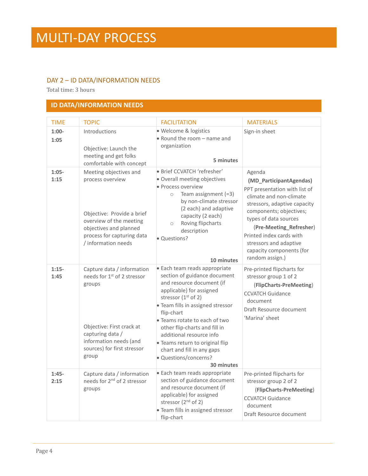#### <span id="page-5-0"></span>DAY 2 – ID DATA/INFORMATION NEEDS

Total time: 3 hours

#### **ID DATA/INFORMATION NEEDS**

| <b>TIME</b>     | <b>TOPIC</b>                                                                                                                                                                                       | <b>FACILITATION</b>                                                                                                                                                                                                                                                                                                                                                                                      | <b>MATERIALS</b>                                                                                                                                                                                                                                                                                                  |
|-----------------|----------------------------------------------------------------------------------------------------------------------------------------------------------------------------------------------------|----------------------------------------------------------------------------------------------------------------------------------------------------------------------------------------------------------------------------------------------------------------------------------------------------------------------------------------------------------------------------------------------------------|-------------------------------------------------------------------------------------------------------------------------------------------------------------------------------------------------------------------------------------------------------------------------------------------------------------------|
| $1:00-$<br>1:05 | Introductions<br>Objective: Launch the<br>meeting and get folks<br>comfortable with concept                                                                                                        | · Welcome & logistics<br>• Round the room $-$ name and<br>organization<br>5 minutes                                                                                                                                                                                                                                                                                                                      | Sign-in sheet                                                                                                                                                                                                                                                                                                     |
| $1:05-$<br>1:15 | Meeting objectives and<br>process overview<br>Objective: Provide a brief<br>overview of the meeting<br>objectives and planned<br>process for capturing data<br>/ information needs                 | · Brief CCVATCH 'refresher'<br>· Overall meeting objectives<br>• Process overview<br>Team assignment $(=3)$<br>$\circ$<br>by non-climate stressor<br>(2 each) and adaptive<br>capacity (2 each)<br>Roving flipcharts<br>$\circlearrowright$<br>description<br>• Questions?<br>10 minutes                                                                                                                 | Agenda<br>(MD_ParticipantAgendas)<br>PPT presentation with list of<br>climate and non-climate<br>stressors, adaptive capacity<br>components; objectives;<br>types of data sources<br>(Pre-Meeting_Refresher)<br>Printed index cards with<br>stressors and adaptive<br>capacity components (for<br>random assign.) |
| $1:15-$<br>1:45 | Capture data / information<br>needs for 1 <sup>st</sup> of 2 stressor<br>groups<br>Objective: First crack at<br>capturing data /<br>information needs (and<br>sources) for first stressor<br>group | · Each team reads appropriate<br>section of guidance document<br>and resource document (if<br>applicable) for assigned<br>stressor $(1st$ of 2)<br>· Team fills in assigned stressor<br>flip-chart<br>• Teams rotate to each of two<br>other flip-charts and fill in<br>additional resource info<br>· Teams return to original flip<br>chart and fill in any gaps<br>· Questions/concerns?<br>30 minutes | Pre-printed flipcharts for<br>stressor group 1 of 2<br>(FlipCharts-PreMeeting)<br><b>CCVATCH Guidance</b><br>document<br>Draft Resource document<br>'Marina' sheet                                                                                                                                                |
| $1:45-$<br>2:15 | Capture data / information<br>needs for 2 <sup>nd</sup> of 2 stressor<br>groups                                                                                                                    | · Each team reads appropriate<br>section of guidance document<br>and resource document (if<br>applicable) for assigned<br>stressor $(2^{nd}$ of 2)<br>• Team fills in assigned stressor<br>flip-chart                                                                                                                                                                                                    | Pre-printed flipcharts for<br>stressor group 2 of 2<br>(FlipCharts-PreMeeting)<br><b>CCVATCH Guidance</b><br>document<br>Draft Resource document                                                                                                                                                                  |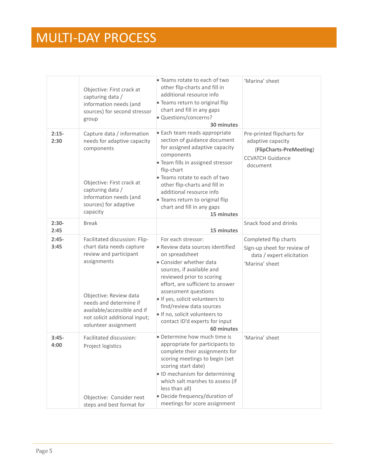|                 | Objective: First crack at<br>capturing data /<br>information needs (and<br>sources) for second stressor<br>group                                                                                                                               | • Teams rotate to each of two<br>other flip-charts and fill in<br>additional resource info<br>· Teams return to original flip<br>chart and fill in any gaps<br>· Questions/concerns?<br>30 minutes                                                                                                                                                                         | 'Marina' sheet                                                                                                    |
|-----------------|------------------------------------------------------------------------------------------------------------------------------------------------------------------------------------------------------------------------------------------------|----------------------------------------------------------------------------------------------------------------------------------------------------------------------------------------------------------------------------------------------------------------------------------------------------------------------------------------------------------------------------|-------------------------------------------------------------------------------------------------------------------|
| $2:15-$<br>2:30 | Capture data / information<br>needs for adaptive capacity<br>components<br>Objective: First crack at<br>capturing data /<br>information needs (and<br>sources) for adaptive<br>capacity                                                        | · Each team reads appropriate<br>section of guidance document<br>for assigned adaptive capacity<br>components<br>· Team fills in assigned stressor<br>flip-chart<br>• Teams rotate to each of two<br>other flip-charts and fill in<br>additional resource info<br>• Teams return to original flip<br>chart and fill in any gaps<br>15 minutes                              | Pre-printed flipcharts for<br>adaptive capacity<br>(FlipCharts-PreMeeting)<br><b>CCVATCH Guidance</b><br>document |
| $2:30-$<br>2:45 | <b>Break</b>                                                                                                                                                                                                                                   | 15 minutes                                                                                                                                                                                                                                                                                                                                                                 | Snack food and drinks                                                                                             |
| $2:45-$<br>3:45 | Facilitated discussion: Flip-<br>chart data needs capture<br>review and participant<br>assignments<br>Objective: Review data<br>needs and determine if<br>available/accessible and if<br>not solicit additional input;<br>volunteer assignment | For each stressor:<br>• Review data sources identified<br>on spreadsheet<br>• Consider whether data<br>sources, if available and<br>reviewed prior to scoring<br>effort, are sufficient to answer<br>assessment questions<br>. If yes, solicit volunteers to<br>find/review data sources<br>. If no, solicit volunteers to<br>contact ID'd experts for input<br>60 minutes | Completed flip charts<br>Sign-up sheet for review of<br>data / expert elicitation<br>'Marina' sheet               |
| $3:45-$<br>4:00 | Facilitated discussion:<br>Project logistics<br>Objective: Consider next<br>steps and best format for                                                                                                                                          | • Determine how much time is<br>appropriate for participants to<br>complete their assignments for<br>scoring meetings to begin (set<br>scoring start date)<br>· ID mechanism for determining<br>which salt marshes to assess (if<br>less than all)<br>· Decide frequency/duration of<br>meetings for score assignment                                                      | 'Marina' sheet                                                                                                    |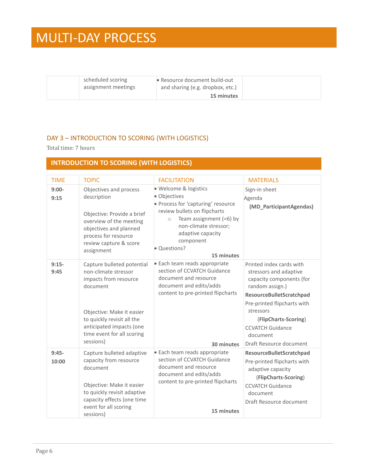| scheduled scoring<br>assignment meetings | • Resource document build-out<br>and sharing (e.g. dropbox, etc.) |  |
|------------------------------------------|-------------------------------------------------------------------|--|
|                                          | 15 minutes                                                        |  |

#### <span id="page-7-0"></span>DAY 3 – INTRODUCTION TO SCORING (WITH LOGISTICS)

Total time: 7 hours

#### **INTRODUCTION TO SCORING (WITH LOGISTICS)**

| <b>TIME</b>      | <b>TOPIC</b>                                                                                                                                                                                                              | <b>FACILITATION</b>                                                                                                                                                                                                                          | <b>MATERIALS</b>                                                                                                                                                                                                                                                    |
|------------------|---------------------------------------------------------------------------------------------------------------------------------------------------------------------------------------------------------------------------|----------------------------------------------------------------------------------------------------------------------------------------------------------------------------------------------------------------------------------------------|---------------------------------------------------------------------------------------------------------------------------------------------------------------------------------------------------------------------------------------------------------------------|
| $9:00-$<br>9:15  | Objectives and process<br>description<br>Objective: Provide a brief<br>overview of the meeting<br>objectives and planned<br>process for resource<br>review capture & score<br>assignment                                  | · Welcome & logistics<br>· Objectives<br>· Process for 'capturing' resource<br>review bullets on flipcharts<br>Team assignment $(=6)$ by<br>$\circ$<br>non-climate stressor;<br>adaptive capacity<br>component<br>· Questions?<br>15 minutes | Sign-in sheet<br>Agenda<br>(MD_ParticipantAgendas)                                                                                                                                                                                                                  |
| $9:15-$<br>9:45  | Capture bulleted potential<br>non-climate stressor<br>impacts from resource<br>document<br>Objective: Make it easier<br>to quickly revisit all the<br>anticipated impacts (one<br>time event for all scoring<br>sessions) | • Each team reads appropriate<br>section of CCVATCH Guidance<br>document and resource<br>document and edits/adds<br>content to pre-printed flipcharts<br>30 minutes                                                                          | Printed index cards with<br>stressors and adaptive<br>capacity components (for<br>random assign.)<br>ResourceBulletScratchpad<br>Pre-printed flipcharts with<br>stressors<br>(FlipCharts-Scoring)<br><b>CCVATCH Guidance</b><br>document<br>Draft Resource document |
| $9:45-$<br>10:00 | Capture bulleted adaptive<br>capacity from resource<br>document<br>Objective: Make it easier<br>to quickly revisit adaptive<br>capacity effects (one time<br>event for all scoring<br>sessions)                           | • Each team reads appropriate<br>section of CCVATCH Guidance<br>document and resource<br>document and edits/adds<br>content to pre-printed flipcharts<br>15 minutes                                                                          | ResourceBulletScratchpad<br>Pre-printed flipcharts with<br>adaptive capacity<br>(FlipCharts-Scoring)<br><b>CCVATCH Guidance</b><br>document<br>Draft Resource document                                                                                              |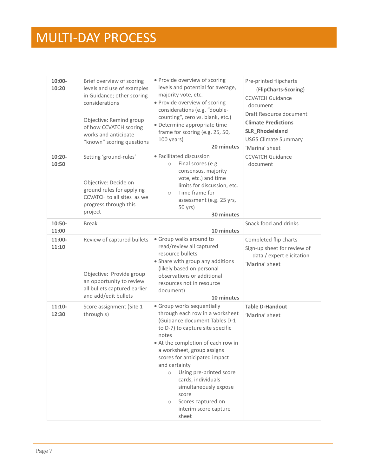| $10:00 -$<br>10:20 | Brief overview of scoring<br>levels and use of examples<br>in Guidance; other scoring<br>considerations<br>Objective: Remind group<br>of how CCVATCH scoring<br>works and anticipate<br>"known" scoring questions | · Provide overview of scoring<br>levels and potential for average,<br>majority vote, etc.<br>· Provide overview of scoring<br>considerations (e.g. "double-<br>counting", zero vs. blank, etc.)<br>· Determine appropriate time<br>frame for scoring (e.g. 25, 50,<br>100 years)<br>20 minutes                                                                                                                                   | Pre-printed flipcharts<br>(FlipCharts-Scoring)<br><b>CCVATCH Guidance</b><br>document<br>Draft Resource document<br><b>Climate Predictions</b><br>SLR_Rhodelsland<br><b>USGS Climate Summary</b><br>'Marina' sheet |
|--------------------|-------------------------------------------------------------------------------------------------------------------------------------------------------------------------------------------------------------------|----------------------------------------------------------------------------------------------------------------------------------------------------------------------------------------------------------------------------------------------------------------------------------------------------------------------------------------------------------------------------------------------------------------------------------|--------------------------------------------------------------------------------------------------------------------------------------------------------------------------------------------------------------------|
| $10:20 -$<br>10:50 | Setting 'ground-rules'<br>Objective: Decide on<br>ground rules for applying<br>CCVATCH to all sites as we<br>progress through this<br>project                                                                     | • Facilitated discussion<br>Final scores (e.g.<br>$\circ$<br>consensus, majority<br>vote, etc.) and time<br>limits for discussion, etc.<br>Time frame for<br>$\circ$<br>assessment (e.g. 25 yrs,<br>50 yrs)<br>30 minutes                                                                                                                                                                                                        | <b>CCVATCH Guidance</b><br>document                                                                                                                                                                                |
| $10:50-$<br>11:00  | <b>Break</b>                                                                                                                                                                                                      | 10 minutes                                                                                                                                                                                                                                                                                                                                                                                                                       | Snack food and drinks                                                                                                                                                                                              |
| 11:00-<br>11:10    | Review of captured bullets<br>Objective: Provide group<br>an opportunity to review<br>all bullets captured earlier<br>and add/edit bullets                                                                        | • Group walks around to<br>read/review all captured<br>resource bullets<br>• Share with group any additions<br>(likely based on personal<br>observations or additional<br>resources not in resource<br>document)<br>10 minutes                                                                                                                                                                                                   | Completed flip charts<br>Sign-up sheet for review of<br>data / expert elicitation<br>'Marina' sheet                                                                                                                |
| $11:10-$<br>12:30  | Score assignment (Site 1<br>through $x$ )                                                                                                                                                                         | • Group works sequentially<br>through each row in a worksheet<br>(Guidance document Tables D-1<br>to D-7) to capture site specific<br>notes<br>At the completion of each row in<br>a worksheet, group assigns<br>scores for anticipated impact<br>and certainty<br>Using pre-printed score<br>$\circ$<br>cards, individuals<br>simultaneously expose<br>score<br>Scores captured on<br>$\circ$<br>interim score capture<br>sheet | <b>Table D-Handout</b><br>'Marina' sheet                                                                                                                                                                           |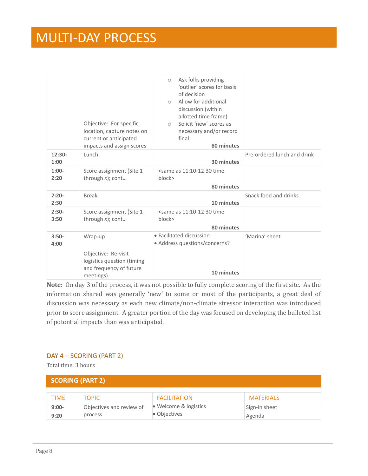|                  | Objective: For specific<br>location, capture notes on<br>current or anticipated<br>impacts and assign scores | Ask folks providing<br>$\circ$<br>'outlier' scores for basis<br>of decision<br>Allow for additional<br>$\bigcap$<br>discussion (within<br>allotted time frame)<br>Solicit 'new' scores as<br>$\bigcirc$<br>necessary and/or record<br>final<br>80 minutes |                             |
|------------------|--------------------------------------------------------------------------------------------------------------|-----------------------------------------------------------------------------------------------------------------------------------------------------------------------------------------------------------------------------------------------------------|-----------------------------|
| $12:30-$<br>1:00 | Lunch                                                                                                        | 30 minutes                                                                                                                                                                                                                                                | Pre-ordered lunch and drink |
| $1:00-$<br>2:20  | Score assignment (Site 1<br>through $x$ ); cont                                                              | <same 11:10-12:30="" as="" time<br="">block&gt;<br/>80 minutes</same>                                                                                                                                                                                     |                             |
| $2:20-$<br>2:30  | <b>Break</b>                                                                                                 | 10 minutes                                                                                                                                                                                                                                                | Snack food and drinks       |
| $2:30-$<br>3:50  | Score assignment (Site 1<br>through $x$ ); cont                                                              | <same 11:10-12:30="" as="" time<br="">block&gt;<br/>80 minutes</same>                                                                                                                                                                                     |                             |
| $3:50-$<br>4:00  | Wrap-up                                                                                                      | • Facilitated discussion<br>• Address questions/concerns?                                                                                                                                                                                                 | 'Marina' sheet              |
|                  | Objective: Re-visit<br>logistics question (timing<br>and frequency of future<br>meetings)                    | 10 minutes                                                                                                                                                                                                                                                |                             |

**Note:** On day 3 of the process, it was not possible to fully complete scoring of the first site. As the information shared was generally 'new' to some or most of the participants, a great deal of discussion was necessary as each new climate/non-climate stressor interaction was introduced prior to score assignment. A greater portion of the day was focused on developing the bulleted list of potential impacts than was anticipated.

#### <span id="page-9-0"></span>DAY 4 – SCORING (PART 2)

Total time: 3 hours

| <b>SCORING (PART 2)</b> |                                     |                                       |                         |
|-------------------------|-------------------------------------|---------------------------------------|-------------------------|
| <b>TIME</b>             | <b>TOPIC</b>                        | <b>FACILITATION</b>                   | <b>MATERIALS</b>        |
| $9:00-$<br>9:20         | Objectives and review of<br>process | • Welcome & logistics<br>• Objectives | Sign-in sheet<br>Agenda |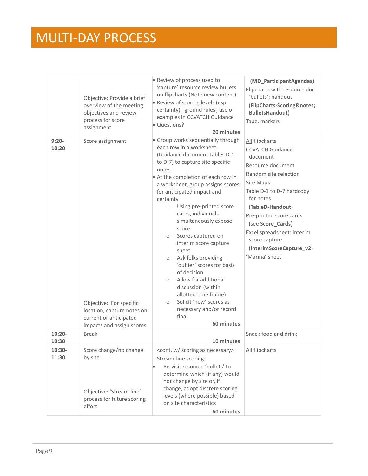|                    | Objective: Provide a brief<br>overview of the meeting<br>objectives and review<br>process for score<br>assignment                | · Review of process used to<br>'capture' resource review bullets<br>on flipcharts (Note new content)<br>· Review of scoring levels (esp.<br>certainty), 'ground rules', use of<br>examples in CCVATCH Guidance<br>· Questions?<br>20 minutes                                                                                                                                                                                                                                                                                                                                                                                                                                               | (MD_ParticipantAgendas)<br>Flipcharts with resource doc<br>'bullets'; handout<br>(FlipCharts-Scoring&notes<br><b>BulletsHandout)</b><br>Tape, markers                                                                                                                                                                       |
|--------------------|----------------------------------------------------------------------------------------------------------------------------------|--------------------------------------------------------------------------------------------------------------------------------------------------------------------------------------------------------------------------------------------------------------------------------------------------------------------------------------------------------------------------------------------------------------------------------------------------------------------------------------------------------------------------------------------------------------------------------------------------------------------------------------------------------------------------------------------|-----------------------------------------------------------------------------------------------------------------------------------------------------------------------------------------------------------------------------------------------------------------------------------------------------------------------------|
| $9:20-$<br>10:20   | Score assignment<br>Objective: For specific<br>location, capture notes on<br>current or anticipated<br>impacts and assign scores | • Group works sequentially through<br>each row in a worksheet<br>(Guidance document Tables D-1<br>to D-7) to capture site specific<br>notes<br>• At the completion of each row in<br>a worksheet, group assigns scores<br>for anticipated impact and<br>certainty<br>Using pre-printed score<br>$\circ$<br>cards, individuals<br>simultaneously expose<br>score<br>Scores captured on<br>$\circ$<br>interim score capture<br>sheet<br>Ask folks providing<br>$\circ$<br>'outlier' scores for basis<br>of decision<br>Allow for additional<br>$\circ$<br>discussion (within<br>allotted time frame)<br>Solicit 'new' scores as<br>$\circ$<br>necessary and/or record<br>final<br>60 minutes | All flipcharts<br><b>CCVATCH Guidance</b><br>document<br>Resource document<br>Random site selection<br>Site Maps<br>Table D-1 to D-7 hardcopy<br>for notes<br>(TableD-Handout)<br>Pre-printed score cards<br>(see Score_Cards)<br>Excel spreadsheet: Interim<br>score capture<br>(InterimScoreCapture_v2)<br>'Marina' sheet |
| $10:20 -$<br>10:30 | <b>Break</b>                                                                                                                     | 10 minutes                                                                                                                                                                                                                                                                                                                                                                                                                                                                                                                                                                                                                                                                                 | Snack food and drink                                                                                                                                                                                                                                                                                                        |
| $10:30-$<br>11:30  | Score change/no change<br>by site<br>Objective: 'Stream-line'<br>process for future scoring<br>effort                            | <cont. as="" necessary="" scoring="" w=""><br/>Stream-line scoring:<br/>Re-visit resource 'bullets' to<br/>determine which (if any) would<br/>not change by site or, if<br/>change, adopt discrete scoring<br/>levels (where possible) based<br/>on site characteristics<br/>60 minutes</cont.>                                                                                                                                                                                                                                                                                                                                                                                            | All flipcharts                                                                                                                                                                                                                                                                                                              |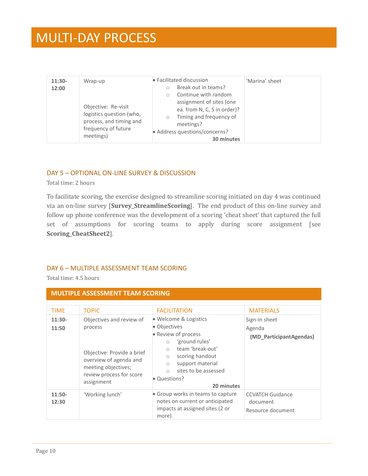| $11:30-$<br>12:00 | Wrap-up<br>Objective: Re-visit<br>logistics question (who,<br>process, and timing and<br>frequency of future<br>meetings) | • Facilitated discussion<br>Break out in teams?<br>Continue with random<br>assignment of sites (one<br>ea. from N, C, S in order)?<br>Timing and frequency of<br>$\bigcirc$<br>meetings?<br>• Address questions/concerns?<br>30 minutes | 'Marina' sheet |
|-------------------|---------------------------------------------------------------------------------------------------------------------------|-----------------------------------------------------------------------------------------------------------------------------------------------------------------------------------------------------------------------------------------|----------------|
|-------------------|---------------------------------------------------------------------------------------------------------------------------|-----------------------------------------------------------------------------------------------------------------------------------------------------------------------------------------------------------------------------------------|----------------|

#### <span id="page-11-0"></span>DAY 5 – OPTIONAL ON-LINE SURVEY & DISCUSSION

Total time: 2 hours

To facilitate scoring, the exercise designed to streamline scoring initiated on day 4 was continued via an on-line survey [**Survey\_StreamlineScoring**]. The end product of this on-line survey and follow up phone conference was the development of a scoring 'cheat sheet' that captured the full set of assumptions for scoring teams to apply during score assignment [see **Scoring\_CheatSheet2**].

#### <span id="page-11-1"></span>DAY 6 – MULTIPLE ASSESSMENT TEAM SCORING

Total time: 4.5 hours

#### **MULTIPLE ASSESSMENT TEAM SCORING**

| <b>TIME</b><br>$11:30-$<br>11:50 | <b>TOPIC</b><br>Objectives and review of<br>process<br>Objective: Provide a brief<br>overview of agenda and<br>meeting objectives;<br>review process for score | <b>FACILITATION</b><br>• Welcome & Logistics<br>• Objectives<br>• Review of process<br>'ground rules'<br>team 'break-out'<br>$\circ$<br>scoring handout<br>$\bigcirc$<br>support material<br>$\bigcirc$<br>sites to be assessed<br>$\bigcap$<br>• Questions? | <b>MATERIALS</b><br>Sign-in sheet<br>Agenda<br>(MD_ParticipantAgendas) |
|----------------------------------|----------------------------------------------------------------------------------------------------------------------------------------------------------------|--------------------------------------------------------------------------------------------------------------------------------------------------------------------------------------------------------------------------------------------------------------|------------------------------------------------------------------------|
|                                  | assignment                                                                                                                                                     | 20 minutes                                                                                                                                                                                                                                                   |                                                                        |
| $11:50-$<br>12:30                | 'Working lunch'                                                                                                                                                | • Group works in teams to capture<br>notes on current or anticipated<br>impacts at assigned sites (2 or<br>more)                                                                                                                                             | <b>CCVATCH Guidance</b><br>document<br>Resource document               |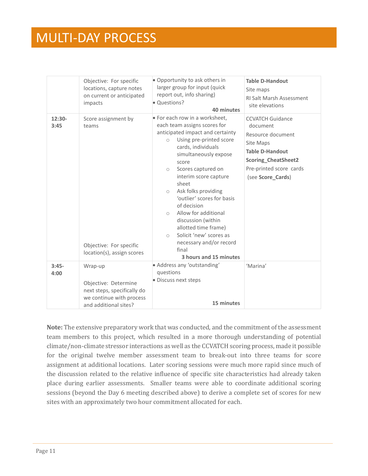|                  | Objective: For specific<br>locations, capture notes<br>on current or anticipated<br>impacts                         | • Opportunity to ask others in<br>larger group for input (quick<br>report out, info sharing)<br>· Questions?<br>40 minutes                                                                                                                                                                                                                                                                                                                                                                                                                    | <b>Table D-Handout</b><br>Site maps<br><b>RI Salt Marsh Assessment</b><br>site elevations                                                                                     |
|------------------|---------------------------------------------------------------------------------------------------------------------|-----------------------------------------------------------------------------------------------------------------------------------------------------------------------------------------------------------------------------------------------------------------------------------------------------------------------------------------------------------------------------------------------------------------------------------------------------------------------------------------------------------------------------------------------|-------------------------------------------------------------------------------------------------------------------------------------------------------------------------------|
| $12:30-$<br>3:45 | Score assignment by<br>teams<br>Objective: For specific<br>location(s), assign scores                               | • For each row in a worksheet,<br>each team assigns scores for<br>anticipated impact and certainty<br>Using pre-printed score<br>$\circ$<br>cards, individuals<br>simultaneously expose<br>score<br>Scores captured on<br>$\circ$<br>interim score capture<br>sheet<br>Ask folks providing<br>$\circ$<br>'outlier' scores for basis<br>of decision<br>Allow for additional<br>$\bigcirc$<br>discussion (within<br>allotted time frame)<br>Solicit 'new' scores as<br>$\bigcirc$<br>necessary and/or record<br>final<br>3 hours and 15 minutes | <b>CCVATCH Guidance</b><br>document<br>Resource document<br>Site Maps<br><b>Table D-Handout</b><br><b>Scoring CheatSheet2</b><br>Pre-printed score cards<br>(see Score_Cards) |
| $3:45-$<br>4:00  | Wrap-up<br>Objective: Determine<br>next steps, specifically do<br>we continue with process<br>and additional sites? | • Address any 'outstanding'<br>questions<br>· Discuss next steps<br>15 minutes                                                                                                                                                                                                                                                                                                                                                                                                                                                                | 'Marina'                                                                                                                                                                      |

**Note:** The extensive preparatory work that was conducted, and the commitment of the assessment team members to this project, which resulted in a more thorough understanding of potential climate/non-climate stressor interactions as well as the CCVATCH scoring process, made it possible for the original twelve member assessment team to break-out into three teams for score assignment at additional locations. Later scoring sessions were much more rapid since much of the discussion related to the relative influence of specific site characteristics had already taken place during earlier assessments. Smaller teams were able to coordinate additional scoring sessions (beyond the Day 6 meeting described above) to derive a complete set of scores for new sites with an approximately two hour commitment allocated for each.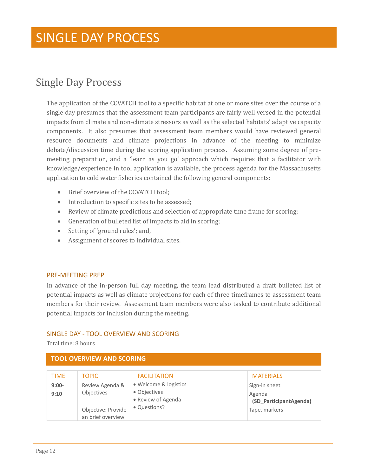### <span id="page-13-0"></span>Single Day Process

The application of the CCVATCH tool to a specific habitat at one or more sites over the course of a single day presumes that the assessment team participants are fairly well versed in the potential impacts from climate and non-climate stressors as well as the selected habitats' adaptive capacity components. It also presumes that assessment team members would have reviewed general resource documents and climate projections in advance of the meeting to minimize debate/discussion time during the scoring application process. Assuming some degree of premeeting preparation, and a 'learn as you go' approach which requires that a facilitator with knowledge/experience in tool application is available, the process agenda for the Massachusetts application to cold water fisheries contained the following general components:

- Brief overview of the CCVATCH tool:
- Introduction to specific sites to be assessed;
- Review of climate predictions and selection of appropriate time frame for scoring;
- Generation of bulleted list of impacts to aid in scoring;
- Setting of 'ground rules'; and,
- Assignment of scores to individual sites.

#### <span id="page-13-1"></span>PRE-MEETING PREP

In advance of the in-person full day meeting, the team lead distributed a draft bulleted list of potential impacts as well as climate projections for each of three timeframes to assessment team members for their review. Assessment team members were also tasked to contribute additional potential impacts for inclusion during the meeting.

#### <span id="page-13-2"></span>SINGLE DAY - TOOL OVERVIEW AND SCORING

Total time: 8 hours

#### **TOOL OVERVIEW AND SCORING**

| <b>TIME</b>     | <b>TOPIC</b>                                                                    | <b>FACILITATION</b>                                                         | <b>MATERIALS</b>                                                   |
|-----------------|---------------------------------------------------------------------------------|-----------------------------------------------------------------------------|--------------------------------------------------------------------|
| $9:00-$<br>9:10 | Review Agenda &<br><b>Objectives</b><br>Objective: Provide<br>an brief overview | · Welcome & logistics<br>• Objectives<br>• Review of Agenda<br>• Questions? | Sign-in sheet<br>Agenda<br>(SD_ParticipantAgenda)<br>Tape, markers |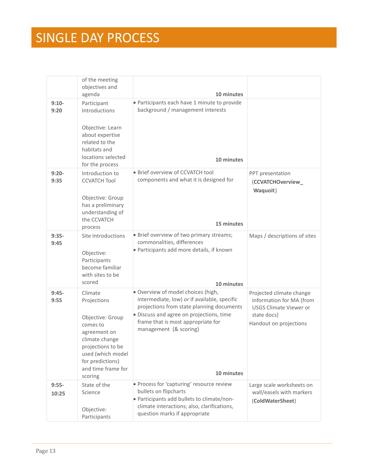|                  | of the meeting<br>objectives and                                                                                                                                                        |                                                                                                                                                                                                                                                           |                                                                                                                                |
|------------------|-----------------------------------------------------------------------------------------------------------------------------------------------------------------------------------------|-----------------------------------------------------------------------------------------------------------------------------------------------------------------------------------------------------------------------------------------------------------|--------------------------------------------------------------------------------------------------------------------------------|
|                  | agenda                                                                                                                                                                                  | 10 minutes                                                                                                                                                                                                                                                |                                                                                                                                |
| $9:10-$<br>9:20  | Participant<br>Introductions                                                                                                                                                            | · Participants each have 1 minute to provide<br>background / management interests                                                                                                                                                                         |                                                                                                                                |
|                  | Objective: Learn<br>about expertise<br>related to the<br>habitats and<br>locations selected<br>for the process                                                                          | 10 minutes                                                                                                                                                                                                                                                |                                                                                                                                |
| $9:20-$<br>9:35  | Introduction to<br><b>CCVATCH Tool</b><br>Objective: Group<br>has a preliminary                                                                                                         | · Brief overview of CCVATCH tool<br>components and what it is designed for                                                                                                                                                                                | PPT presentation<br>(CCVATCHOverview_<br>Waquoit)                                                                              |
|                  | understanding of<br>the CCVATCH<br>process                                                                                                                                              | 15 minutes                                                                                                                                                                                                                                                |                                                                                                                                |
| $9:35-$<br>9:45  | Site Introductions<br>Objective:<br>Participants<br>become familiar<br>with sites to be<br>scored                                                                                       | • Brief overview of two primary streams;<br>commonalities, differences<br>· Participants add more details, if known<br>10 minutes                                                                                                                         | Maps / descriptions of sites                                                                                                   |
| $9:45-$<br>9:55  | Climate<br>Projections<br>Objective: Group<br>comes to<br>agreement on<br>climate change<br>projections to be<br>used (which model<br>for predictions)<br>and time frame for<br>scoring | · Overview of model choices (high,<br>intermediate, low) or if available, specific<br>projections from state planning documents<br>· Discuss and agree on projections, time<br>frame that is most appropriate for<br>management (& scoring)<br>10 minutes | Projected climate change<br>information for MA (from<br><b>USGS Climate Viewer or</b><br>state docs)<br>Handout on projections |
| $9:55-$<br>10:25 | State of the<br>Science<br>Objective:<br>Participants                                                                                                                                   | · Process for 'capturing' resource review<br>bullets on flipcharts<br>· Participants add bullets to climate/non-<br>climate interactions; also, clarifications,<br>question marks if appropriate                                                          | Large scale worksheets on<br>wall/easels with markers<br>(ColdWaterSheet)                                                      |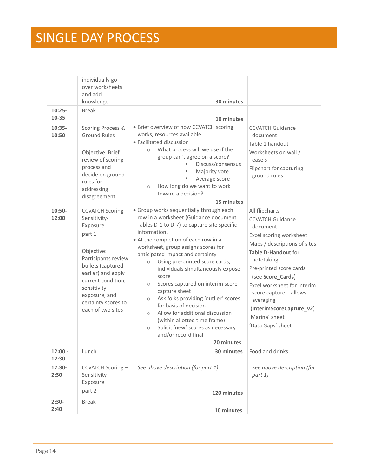| $10:25 -$                  | individually go<br>over worksheets<br>and add<br>knowledge<br><b>Break</b>                                                                                                                                                                        | 30 minutes                                                                                                                                                                                                                                                                                                                                                                                                                                                                                                                                                                                                                                                                      |                                                                                                                                                                                                                                                                                                                                                |
|----------------------------|---------------------------------------------------------------------------------------------------------------------------------------------------------------------------------------------------------------------------------------------------|---------------------------------------------------------------------------------------------------------------------------------------------------------------------------------------------------------------------------------------------------------------------------------------------------------------------------------------------------------------------------------------------------------------------------------------------------------------------------------------------------------------------------------------------------------------------------------------------------------------------------------------------------------------------------------|------------------------------------------------------------------------------------------------------------------------------------------------------------------------------------------------------------------------------------------------------------------------------------------------------------------------------------------------|
| 10-35<br>$10:35-$<br>10:50 | Scoring Process &<br><b>Ground Rules</b><br>Objective: Brief<br>review of scoring<br>process and<br>decide on ground<br>rules for<br>addressing<br>disagreement                                                                                   | 10 minutes<br>· Brief overview of how CCVATCH scoring<br>works, resources available<br>• Facilitated discussion<br>What process will we use if the<br>$\circ$<br>group can't agree on a score?<br>Discuss/consensus<br>Majority vote<br>Average score<br>How long do we want to work<br>$\circ$<br>toward a decision?<br>15 minutes                                                                                                                                                                                                                                                                                                                                             | <b>CCVATCH Guidance</b><br>document<br>Table 1 handout<br>Worksheets on wall /<br>easels<br>Flipchart for capturing<br>ground rules                                                                                                                                                                                                            |
| $10:50-$<br>12:00          | <b>CCVATCH Scoring -</b><br>Sensitivity-<br>Exposure<br>part 1<br>Objective:<br>Participants review<br>bullets (captured<br>earlier) and apply<br>current condition,<br>sensitivity-<br>exposure, and<br>certainty scores to<br>each of two sites | • Group works sequentially through each<br>row in a worksheet (Guidance document<br>Tables D-1 to D-7) to capture site specific<br>information.<br>• At the completion of each row in a<br>worksheet, group assigns scores for<br>anticipated impact and certainty<br>Using pre-printed score cards,<br>$\circ$<br>individuals simultaneously expose<br>score<br>Scores captured on interim score<br>$\circ$<br>capture sheet<br>Ask folks providing 'outlier' scores<br>$\circ$<br>for basis of decision<br>Allow for additional discussion<br>$\circ$<br>(within allotted time frame)<br>Solicit 'new' scores as necessary<br>$\bigcirc$<br>and/or record final<br>70 minutes | All flipcharts<br><b>CCVATCH Guidance</b><br>document<br>Excel scoring worksheet<br>Maps / descriptions of sites<br>Table D-Handout for<br>notetaking<br>Pre-printed score cards<br>(see Score_Cards)<br>Excel worksheet for interim<br>score capture - allows<br>averaging<br>(InterimScoreCapture_v2)<br>'Marina' sheet<br>'Data Gaps' sheet |
| $12:00 -$<br>12:30         | Lunch                                                                                                                                                                                                                                             | 30 minutes                                                                                                                                                                                                                                                                                                                                                                                                                                                                                                                                                                                                                                                                      | Food and drinks                                                                                                                                                                                                                                                                                                                                |
| 12:30-<br>2:30             | CCVATCH Scoring-<br>Sensitivity-<br>Exposure<br>part 2                                                                                                                                                                                            | See above description (for part 1)<br>120 minutes                                                                                                                                                                                                                                                                                                                                                                                                                                                                                                                                                                                                                               | See above description (for<br>part 1)                                                                                                                                                                                                                                                                                                          |
| $2:30-$<br>2:40            | <b>Break</b>                                                                                                                                                                                                                                      | 10 minutes                                                                                                                                                                                                                                                                                                                                                                                                                                                                                                                                                                                                                                                                      |                                                                                                                                                                                                                                                                                                                                                |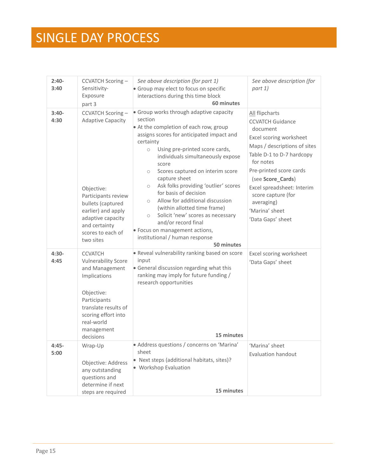| $2:40-$<br>3:40 | CCVATCH Scoring-<br>Sensitivity-<br>Exposure<br>part 3                                                                                                                                                      | See above description (for part 1)<br>• Group may elect to focus on specific<br>interactions during this time block<br>60 minutes                                                                                                                                                                                                                                                                                                                                                                                                                                                                                                    | See above description (for<br>part 1)                                                                                                                                                                                                                                                                               |
|-----------------|-------------------------------------------------------------------------------------------------------------------------------------------------------------------------------------------------------------|--------------------------------------------------------------------------------------------------------------------------------------------------------------------------------------------------------------------------------------------------------------------------------------------------------------------------------------------------------------------------------------------------------------------------------------------------------------------------------------------------------------------------------------------------------------------------------------------------------------------------------------|---------------------------------------------------------------------------------------------------------------------------------------------------------------------------------------------------------------------------------------------------------------------------------------------------------------------|
| $3:40-$<br>4:30 | <b>CCVATCH Scoring-</b><br><b>Adaptive Capacity</b><br>Objective:<br>Participants review<br>bullets (captured<br>earlier) and apply<br>adaptive capacity<br>and certainty<br>scores to each of<br>two sites | • Group works through adaptive capacity<br>section<br>• At the completion of each row, group<br>assigns scores for anticipated impact and<br>certainty<br>Using pre-printed score cards,<br>$\circ$<br>individuals simultaneously expose<br>score<br>Scores captured on interim score<br>$\circ$<br>capture sheet<br>Ask folks providing 'outlier' scores<br>$\circ$<br>for basis of decision<br>Allow for additional discussion<br>$\circ$<br>(within allotted time frame)<br>Solicit 'new' scores as necessary<br>$\circ$<br>and/or record final<br>· Focus on management actions,<br>institutional / human response<br>50 minutes | All flipcharts<br><b>CCVATCH Guidance</b><br>document<br>Excel scoring worksheet<br>Maps / descriptions of sites<br>Table D-1 to D-7 hardcopy<br>for notes<br>Pre-printed score cards<br>(see Score_Cards)<br>Excel spreadsheet: Interim<br>score capture (for<br>averaging)<br>'Marina' sheet<br>'Data Gaps' sheet |
| $4:30-$<br>4:45 | <b>CCVATCH</b><br><b>Vulnerability Score</b><br>and Management<br>Implications<br>Objective:<br>Participants<br>translate results of<br>scoring effort into<br>real-world<br>management<br>decisions        | . Reveal vulnerability ranking based on score<br>input<br>• General discussion regarding what this<br>ranking may imply for future funding /<br>research opportunities<br>15 minutes                                                                                                                                                                                                                                                                                                                                                                                                                                                 | Excel scoring worksheet<br>'Data Gaps' sheet                                                                                                                                                                                                                                                                        |
| $4:45-$<br>5:00 | Wrap-Up<br>Objective: Address<br>any outstanding<br>questions and<br>determine if next<br>steps are required                                                                                                | • Address questions / concerns on 'Marina'<br>sheet<br>• Next steps (additional habitats, sites)?<br>• Workshop Evaluation<br>15 minutes                                                                                                                                                                                                                                                                                                                                                                                                                                                                                             | 'Marina' sheet<br><b>Evaluation handout</b>                                                                                                                                                                                                                                                                         |